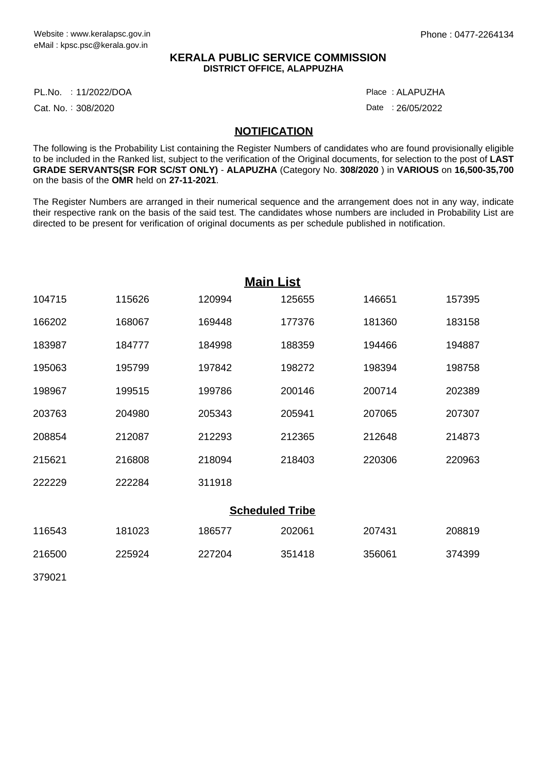## **KERALA PUBLIC SERVICE COMMISSION DISTRICT OFFICE, ALAPPUZHA**

11/2022/DOA Place : PL.No.

Cat. No.: 308/2020

ALAPUZHA :

Date: 26/05/2022

## **NOTIFICATION**

The following is the Probability List containing the Register Numbers of candidates who are found provisionally eligible to be included in the Ranked list, subject to the verification of the Original documents, for selection to the post of **LAST GRADE SERVANTS(SR FOR SC/ST ONLY)** - **ALAPUZHA** (Category No. **308/2020** ) in **VARIOUS** on **16,500-35,700** on the basis of the **OMR** held on **27-11-2021**.

The Register Numbers are arranged in their numerical sequence and the arrangement does not in any way, indicate their respective rank on the basis of the said test. The candidates whose numbers are included in Probability List are directed to be present for verification of original documents as per schedule published in notification.

|        |        |        | <b>Main List</b>       |        |        |
|--------|--------|--------|------------------------|--------|--------|
| 104715 | 115626 | 120994 | 125655                 | 146651 | 157395 |
| 166202 | 168067 | 169448 | 177376                 | 181360 | 183158 |
| 183987 | 184777 | 184998 | 188359                 | 194466 | 194887 |
| 195063 | 195799 | 197842 | 198272                 | 198394 | 198758 |
| 198967 | 199515 | 199786 | 200146                 | 200714 | 202389 |
| 203763 | 204980 | 205343 | 205941                 | 207065 | 207307 |
| 208854 | 212087 | 212293 | 212365                 | 212648 | 214873 |
| 215621 | 216808 | 218094 | 218403                 | 220306 | 220963 |
| 222229 | 222284 | 311918 |                        |        |        |
|        |        |        | <b>Scheduled Tribe</b> |        |        |
| 116543 | 181023 | 186577 | 202061                 | 207431 | 208819 |
| 216500 | 225924 | 227204 | 351418                 | 356061 | 374399 |
| 379021 |        |        |                        |        |        |